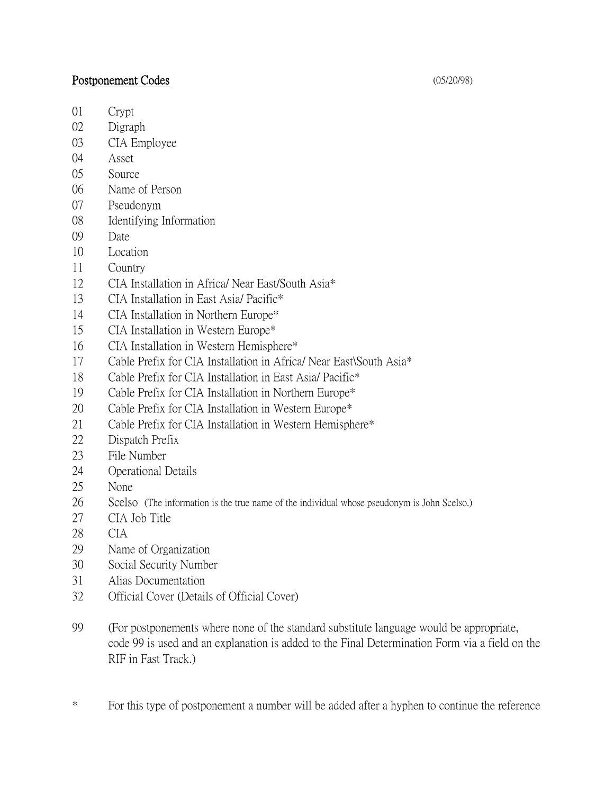## Postponement Codes (05/20/98)

- Crypt
- Digraph
- CIA Employee
- Asset
- Source
- Name of Person
- Pseudonym
- Identifying Information
- Date
- Location
- Country
- CIA Installation in Africa/ Near East/South Asia\*
- CIA Installation in East Asia/ Pacific\*
- CIA Installation in Northern Europe\*
- CIA Installation in Western Europe\*
- CIA Installation in Western Hemisphere\*
- Cable Prefix for CIA Installation in Africa/ Near East\South Asia\*
- Cable Prefix for CIA Installation in East Asia/ Pacific\*
- Cable Prefix for CIA Installation in Northern Europe\*
- Cable Prefix for CIA Installation in Western Europe\*
- Cable Prefix for CIA Installation in Western Hemisphere\*
- Dispatch Prefix
- File Number
- Operational Details
- None
- Scelso (The information is the true name of the individual whose pseudonym is John Scelso.)
- CIA Job Title
- CIA
- Name of Organization
- Social Security Number
- Alias Documentation
- Official Cover (Details of Official Cover)
- (For postponements where none of the standard substitute language would be appropriate, code 99 is used and an explanation is added to the Final Determination Form via a field on the RIF in Fast Track.)
- \* For this type of postponement a number will be added after a hyphen to continue the reference